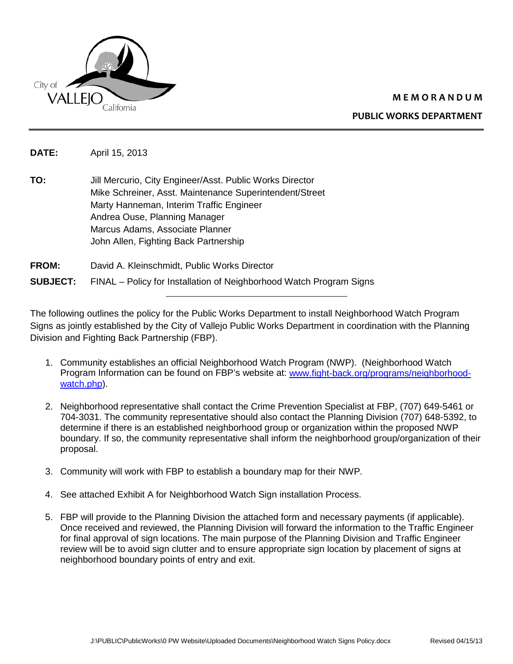

## **M E M O R A N D U M**

**PUBLIC WORKS DEPARTMENT** 

**DATE:** April 15, 2013

**TO:** Jill Mercurio, City Engineer/Asst. Public Works Director Mike Schreiner, Asst. Maintenance Superintendent/Street Marty Hanneman, Interim Traffic Engineer Andrea Ouse, Planning Manager Marcus Adams, Associate Planner John Allen, Fighting Back Partnership

## **FROM:** David A. Kleinschmidt, Public Works Director **SUBJECT:** FINAL – Policy for Installation of Neighborhood Watch Program Signs

The following outlines the policy for the Public Works Department to install Neighborhood Watch Program Signs as jointly established by the City of Vallejo Public Works Department in coordination with the Planning Division and Fighting Back Partnership (FBP).

- 1. Community establishes an official Neighborhood Watch Program (NWP). (Neighborhood Watch Program Information can be found on FBP's website at: [www.fight-back.org/programs/neighborhood](http://www.fight-back.org/programs/neighborhood-watch.php)[watch.php\)](http://www.fight-back.org/programs/neighborhood-watch.php).
- 2. Neighborhood representative shall contact the Crime Prevention Specialist at FBP, (707) 649-5461 or 704-3031. The community representative should also contact the Planning Division (707) 648-5392, to determine if there is an established neighborhood group or organization within the proposed NWP boundary. If so, the community representative shall inform the neighborhood group/organization of their proposal.
- 3. Community will work with FBP to establish a boundary map for their NWP.
- 4. See attached Exhibit A for Neighborhood Watch Sign installation Process.
- 5. FBP will provide to the Planning Division the attached form and necessary payments (if applicable). Once received and reviewed, the Planning Division will forward the information to the Traffic Engineer for final approval of sign locations. The main purpose of the Planning Division and Traffic Engineer review will be to avoid sign clutter and to ensure appropriate sign location by placement of signs at neighborhood boundary points of entry and exit.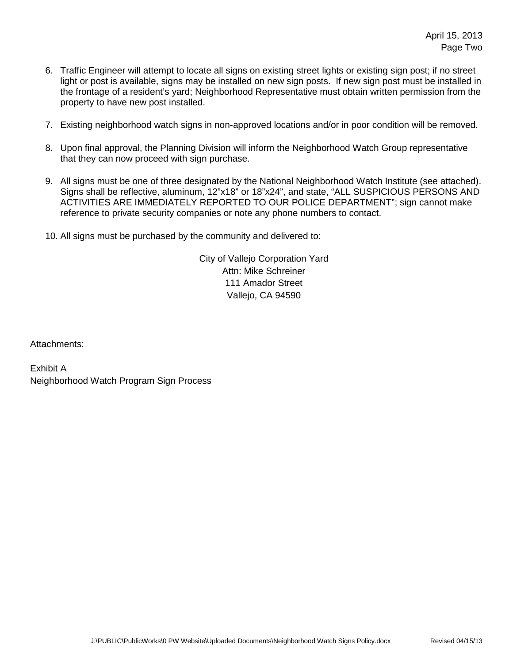- 6. Traffic Engineer will attempt to locate all signs on existing street lights or existing sign post; if no street light or post is available, signs may be installed on new sign posts. If new sign post must be installed in the frontage of a resident's yard; Neighborhood Representative must obtain written permission from the property to have new post installed.
- 7. Existing neighborhood watch signs in non-approved locations and/or in poor condition will be removed.
- 8. Upon final approval, the Planning Division will inform the Neighborhood Watch Group representative that they can now proceed with sign purchase.
- 9. All signs must be one of three designated by the National Neighborhood Watch Institute (see attached). Signs shall be reflective, aluminum, 12"x18" or 18"x24", and state, "ALL SUSPICIOUS PERSONS AND ACTIVITIES ARE IMMEDIATELY REPORTED TO OUR POLICE DEPARTMENT"; sign cannot make reference to private security companies or note any phone numbers to contact.
- 10. All signs must be purchased by the community and delivered to:

City of Vallejo Corporation Yard Attn: Mike Schreiner 111 Amador Street Vallejo, CA 94590

Attachments:

Exhibit A Neighborhood Watch Program Sign Process